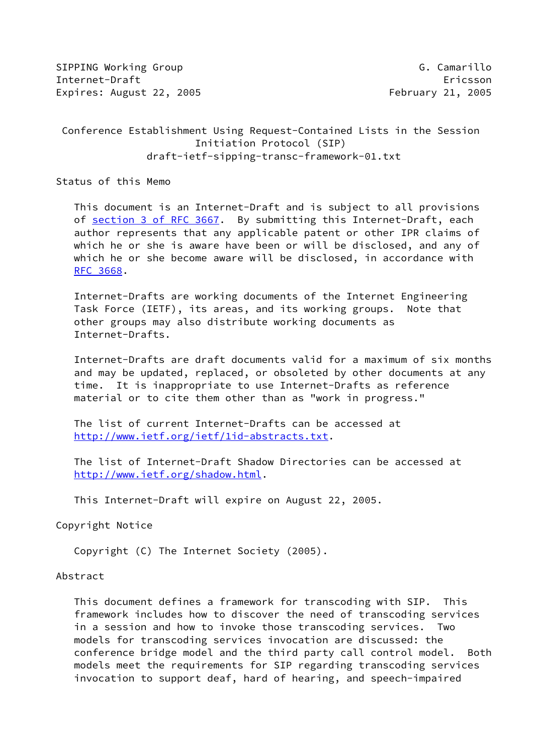SIPPING Working Group G. Camarillo Internet-Draft Ericsson Expires: August 22, 2005 **February 21, 2005** 

# Conference Establishment Using Request-Contained Lists in the Session Initiation Protocol (SIP) draft-ietf-sipping-transc-framework-01.txt

Status of this Memo

 This document is an Internet-Draft and is subject to all provisions of section [3 of RFC 3667.](https://datatracker.ietf.org/doc/pdf/rfc3667#section-3) By submitting this Internet-Draft, each author represents that any applicable patent or other IPR claims of which he or she is aware have been or will be disclosed, and any of which he or she become aware will be disclosed, in accordance with [RFC 3668](https://datatracker.ietf.org/doc/pdf/rfc3668).

 Internet-Drafts are working documents of the Internet Engineering Task Force (IETF), its areas, and its working groups. Note that other groups may also distribute working documents as Internet-Drafts.

 Internet-Drafts are draft documents valid for a maximum of six months and may be updated, replaced, or obsoleted by other documents at any time. It is inappropriate to use Internet-Drafts as reference material or to cite them other than as "work in progress."

 The list of current Internet-Drafts can be accessed at <http://www.ietf.org/ietf/1id-abstracts.txt>.

 The list of Internet-Draft Shadow Directories can be accessed at <http://www.ietf.org/shadow.html>.

This Internet-Draft will expire on August 22, 2005.

Copyright Notice

Copyright (C) The Internet Society (2005).

### Abstract

 This document defines a framework for transcoding with SIP. This framework includes how to discover the need of transcoding services in a session and how to invoke those transcoding services. Two models for transcoding services invocation are discussed: the conference bridge model and the third party call control model. Both models meet the requirements for SIP regarding transcoding services invocation to support deaf, hard of hearing, and speech-impaired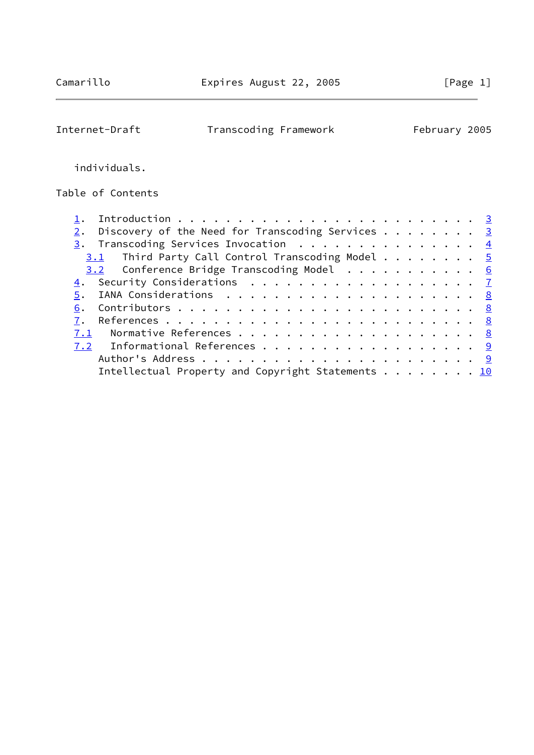$\overline{\phantom{0}}$ 

Internet-Draft Transcoding Framework February 2005

individuals.

Table of Contents

| Discovery of the Need for Transcoding Services $\cdots$ 3 |  |
|-----------------------------------------------------------|--|
| 3. Transcoding Services Invocation $\frac{4}{5}$          |  |
| $3.1$ Third Party Call Control Transcoding Model 5        |  |
| 3.2 Conference Bridge Transcoding Model 6                 |  |
|                                                           |  |
|                                                           |  |
|                                                           |  |
|                                                           |  |
|                                                           |  |
| 7.2 Informational References 9                            |  |
|                                                           |  |
| Intellectual Property and Copyright Statements 10         |  |
|                                                           |  |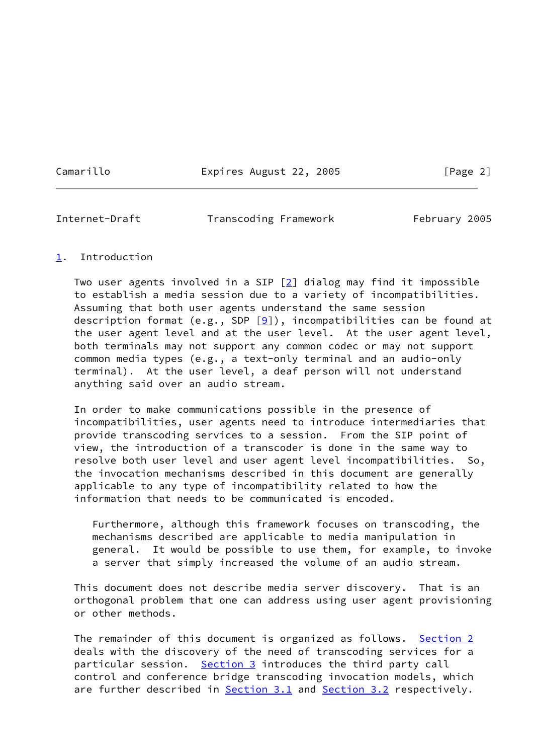Camarillo **Expires August 22, 2005** [Page 2]

<span id="page-2-1"></span>

Internet-Draft Transcoding Framework February 2005

### <span id="page-2-0"></span>[1](#page-2-0). Introduction

Two user agents involved in a SIP  $[2]$  $[2]$  dialog may find it impossible to establish a media session due to a variety of incompatibilities. Assuming that both user agents understand the same session description format (e.g., SDP  $[9]$  $[9]$ ), incompatibilities can be found at the user agent level and at the user level. At the user agent level, both terminals may not support any common codec or may not support common media types (e.g., a text-only terminal and an audio-only terminal). At the user level, a deaf person will not understand anything said over an audio stream.

 In order to make communications possible in the presence of incompatibilities, user agents need to introduce intermediaries that provide transcoding services to a session. From the SIP point of view, the introduction of a transcoder is done in the same way to resolve both user level and user agent level incompatibilities. So, the invocation mechanisms described in this document are generally applicable to any type of incompatibility related to how the information that needs to be communicated is encoded.

 Furthermore, although this framework focuses on transcoding, the mechanisms described are applicable to media manipulation in general. It would be possible to use them, for example, to invoke a server that simply increased the volume of an audio stream.

 This document does not describe media server discovery. That is an orthogonal problem that one can address using user agent provisioning or other methods.

The remainder of this document is organized as follows. [Section 2](#page-3-0) deals with the discovery of the need of transcoding services for a particular session. [Section 3](#page-4-0) introduces the third party call control and conference bridge transcoding invocation models, which are further described in [Section 3.1](#page-4-1) and [Section 3.2](#page-5-0) respectively.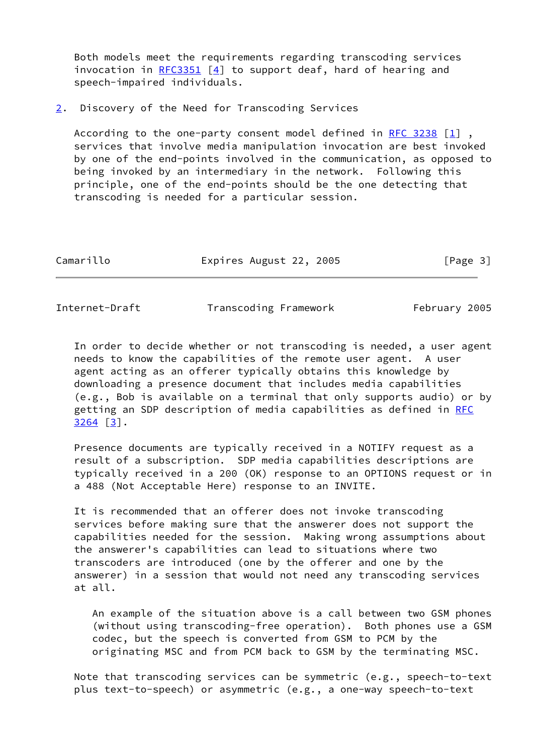Both models meet the requirements regarding transcoding services invocation in  $RFC3351$  [[4\]](#page-8-5) to support deaf, hard of hearing and speech-impaired individuals.

#### <span id="page-3-0"></span>[2](#page-3-0). Discovery of the Need for Transcoding Services

 According to the one-party consent model defined in [RFC 3238](https://datatracker.ietf.org/doc/pdf/rfc3238) [\[1\]](#page-8-6) , services that involve media manipulation invocation are best invoked by one of the end-points involved in the communication, as opposed to being invoked by an intermediary in the network. Following this principle, one of the end-points should be the one detecting that transcoding is needed for a particular session.

| Camarillo | Expires August 22, 2005 |  | [Page 3] |
|-----------|-------------------------|--|----------|
|-----------|-------------------------|--|----------|

<span id="page-3-1"></span>Internet-Draft Transcoding Framework February 2005

 In order to decide whether or not transcoding is needed, a user agent needs to know the capabilities of the remote user agent. A user agent acting as an offerer typically obtains this knowledge by downloading a presence document that includes media capabilities (e.g., Bob is available on a terminal that only supports audio) or by getting an SDP description of media capabilities as defined in [RFC](https://datatracker.ietf.org/doc/pdf/rfc3264) [3264](https://datatracker.ietf.org/doc/pdf/rfc3264) [\[3\]](#page-8-7).

 Presence documents are typically received in a NOTIFY request as a result of a subscription. SDP media capabilities descriptions are typically received in a 200 (OK) response to an OPTIONS request or in a 488 (Not Acceptable Here) response to an INVITE.

 It is recommended that an offerer does not invoke transcoding services before making sure that the answerer does not support the capabilities needed for the session. Making wrong assumptions about the answerer's capabilities can lead to situations where two transcoders are introduced (one by the offerer and one by the answerer) in a session that would not need any transcoding services at all.

 An example of the situation above is a call between two GSM phones (without using transcoding-free operation). Both phones use a GSM codec, but the speech is converted from GSM to PCM by the originating MSC and from PCM back to GSM by the terminating MSC.

 Note that transcoding services can be symmetric (e.g., speech-to-text plus text-to-speech) or asymmetric (e.g., a one-way speech-to-text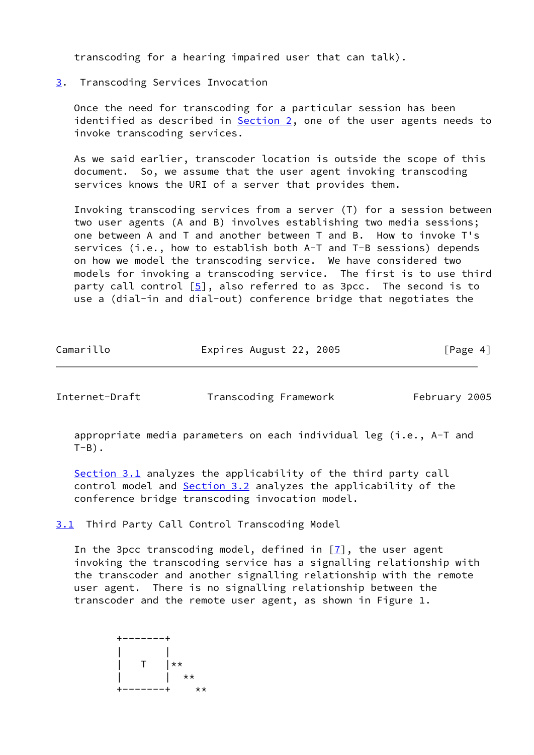transcoding for a hearing impaired user that can talk).

<span id="page-4-0"></span>[3](#page-4-0). Transcoding Services Invocation

 Once the need for transcoding for a particular session has been identified as described in [Section 2,](#page-3-0) one of the user agents needs to invoke transcoding services.

 As we said earlier, transcoder location is outside the scope of this document. So, we assume that the user agent invoking transcoding services knows the URI of a server that provides them.

 Invoking transcoding services from a server (T) for a session between two user agents (A and B) involves establishing two media sessions; one between A and T and another between T and B. How to invoke T's services (i.e., how to establish both A-T and T-B sessions) depends on how we model the transcoding service. We have considered two models for invoking a transcoding service. The first is to use third party call control [[5\]](#page-8-8), also referred to as 3pcc. The second is to use a (dial-in and dial-out) conference bridge that negotiates the

| Camarillo | Expires August 22, 2005 |  | [Page 4] |
|-----------|-------------------------|--|----------|
|-----------|-------------------------|--|----------|

<span id="page-4-2"></span>Internet-Draft Transcoding Framework February 2005

 appropriate media parameters on each individual leg (i.e., A-T and  $T-B$ ).

[Section 3.1](#page-4-1) analyzes the applicability of the third party call control model and **Section 3.2** analyzes the applicability of the conference bridge transcoding invocation model.

<span id="page-4-1"></span>[3.1](#page-4-1) Third Party Call Control Transcoding Model

In the 3pcc transcoding model, defined in  $[7]$  $[7]$ , the user agent invoking the transcoding service has a signalling relationship with the transcoder and another signalling relationship with the remote user agent. There is no signalling relationship between the transcoder and the remote user agent, as shown in Figure 1.

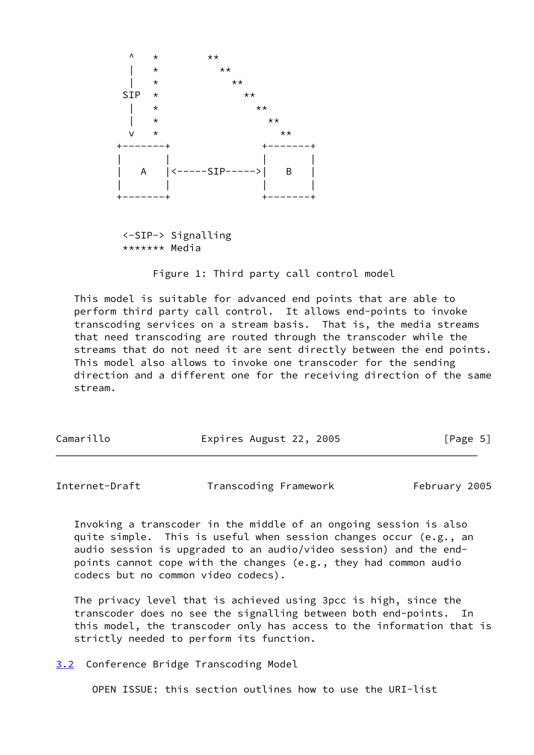

 <-SIP-> Signalling \*\*\*\*\*\*\* Media

Figure 1: Third party call control model

 This model is suitable for advanced end points that are able to perform third party call control. It allows end-points to invoke transcoding services on a stream basis. That is, the media streams that need transcoding are routed through the transcoder while the streams that do not need it are sent directly between the end points. This model also allows to invoke one transcoder for the sending direction and a different one for the receiving direction of the same stream.

| Camarillo | Expires August 22, 2005 | [Page 5] |
|-----------|-------------------------|----------|
|           |                         |          |

<span id="page-5-1"></span>Internet-Draft Transcoding Framework February 2005

 Invoking a transcoder in the middle of an ongoing session is also quite simple. This is useful when session changes occur (e.g., an audio session is upgraded to an audio/video session) and the end points cannot cope with the changes (e.g., they had common audio codecs but no common video codecs).

 The privacy level that is achieved using 3pcc is high, since the transcoder does no see the signalling between both end-points. In this model, the transcoder only has access to the information that is strictly needed to perform its function.

<span id="page-5-0"></span>[3.2](#page-5-0) Conference Bridge Transcoding Model

OPEN ISSUE: this section outlines how to use the URI-list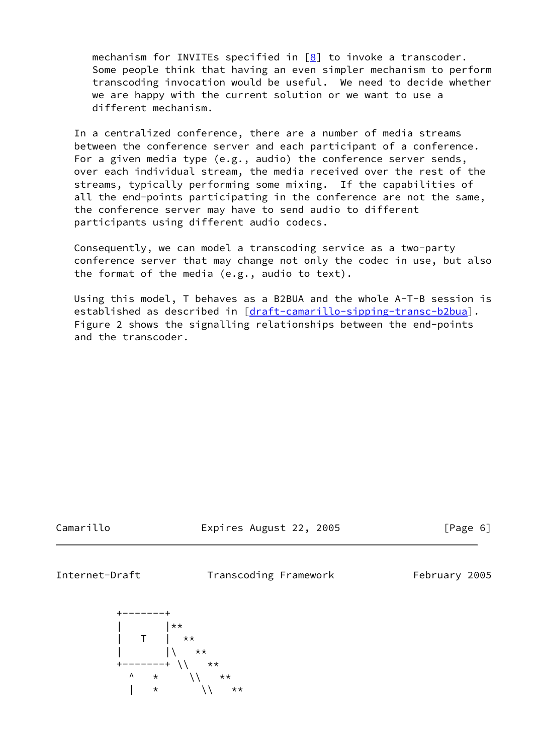mechanism for INVITEs specified in [[8\]](#page-8-10) to invoke a transcoder. Some people think that having an even simpler mechanism to perform transcoding invocation would be useful. We need to decide whether we are happy with the current solution or we want to use a different mechanism.

 In a centralized conference, there are a number of media streams between the conference server and each participant of a conference. For a given media type (e.g., audio) the conference server sends, over each individual stream, the media received over the rest of the streams, typically performing some mixing. If the capabilities of all the end-points participating in the conference are not the same, the conference server may have to send audio to different participants using different audio codecs.

 Consequently, we can model a transcoding service as a two-party conference server that may change not only the codec in use, but also the format of the media (e.g., audio to text).

 Using this model, T behaves as a B2BUA and the whole A-T-B session is established as described in [\[draft-camarillo-sipping-transc-b2bua](https://datatracker.ietf.org/doc/pdf/draft-camarillo-sipping-transc-b2bua)]. Figure 2 shows the signalling relationships between the end-points and the transcoder.

Camarillo **Expires August 22, 2005** [Page 6]

<span id="page-6-0"></span>

Internet-Draft Transcoding Framework February 2005

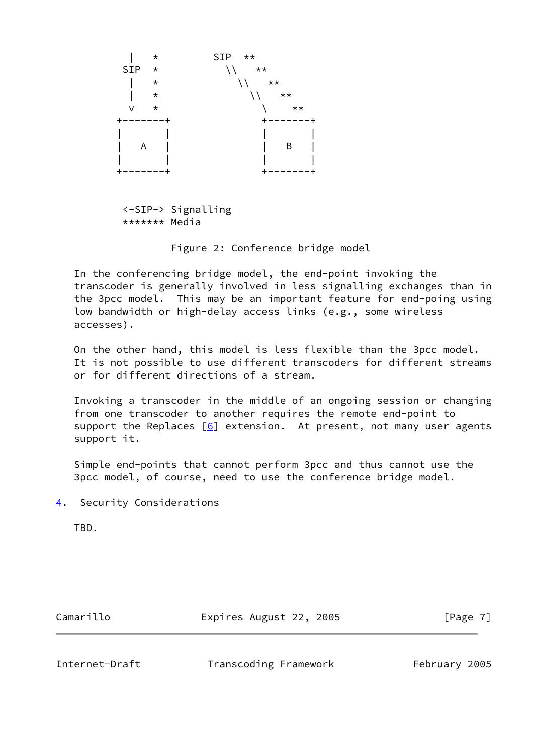

 <-SIP-> Signalling \*\*\*\*\*\*\* Media

Figure 2: Conference bridge model

 In the conferencing bridge model, the end-point invoking the transcoder is generally involved in less signalling exchanges than in the 3pcc model. This may be an important feature for end-poing using low bandwidth or high-delay access links (e.g., some wireless accesses).

 On the other hand, this model is less flexible than the 3pcc model. It is not possible to use different transcoders for different streams or for different directions of a stream.

 Invoking a transcoder in the middle of an ongoing session or changing from one transcoder to another requires the remote end-point to support the Replaces  $[6]$  extension. At present, not many user agents support it.

 Simple end-points that cannot perform 3pcc and thus cannot use the 3pcc model, of course, need to use the conference bridge model.

<span id="page-7-0"></span>[4](#page-7-0). Security Considerations

TBD.

Camarillo **Expires August 22, 2005** [Page 7]

<span id="page-7-1"></span>Internet-Draft Transcoding Framework February 2005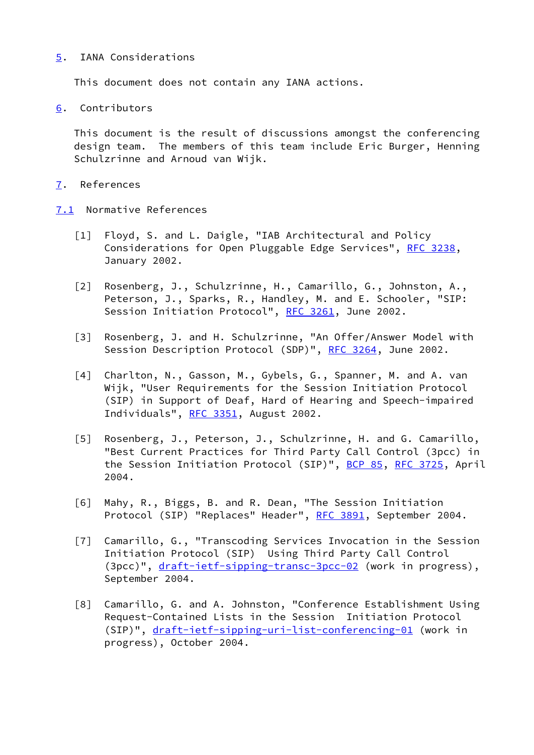### <span id="page-8-0"></span>[5](#page-8-0). IANA Considerations

This document does not contain any IANA actions.

<span id="page-8-1"></span>[6](#page-8-1). Contributors

 This document is the result of discussions amongst the conferencing design team. The members of this team include Eric Burger, Henning Schulzrinne and Arnoud van Wijk.

## <span id="page-8-2"></span>[7](#page-8-2). References

- <span id="page-8-11"></span><span id="page-8-10"></span><span id="page-8-9"></span><span id="page-8-8"></span><span id="page-8-7"></span><span id="page-8-6"></span><span id="page-8-5"></span><span id="page-8-4"></span><span id="page-8-3"></span>[7.1](#page-8-3) Normative References
	- [1] Floyd, S. and L. Daigle, "IAB Architectural and Policy Considerations for Open Pluggable Edge Services", [RFC 3238,](https://datatracker.ietf.org/doc/pdf/rfc3238) January 2002.
	- [2] Rosenberg, J., Schulzrinne, H., Camarillo, G., Johnston, A., Peterson, J., Sparks, R., Handley, M. and E. Schooler, "SIP: Session Initiation Protocol", [RFC 3261,](https://datatracker.ietf.org/doc/pdf/rfc3261) June 2002.
	- [3] Rosenberg, J. and H. Schulzrinne, "An Offer/Answer Model with Session Description Protocol (SDP)", [RFC 3264](https://datatracker.ietf.org/doc/pdf/rfc3264), June 2002.
	- [4] Charlton, N., Gasson, M., Gybels, G., Spanner, M. and A. van Wijk, "User Requirements for the Session Initiation Protocol (SIP) in Support of Deaf, Hard of Hearing and Speech-impaired Individuals", [RFC 3351,](https://datatracker.ietf.org/doc/pdf/rfc3351) August 2002.
	- [5] Rosenberg, J., Peterson, J., Schulzrinne, H. and G. Camarillo, "Best Current Practices for Third Party Call Control (3pcc) in the Session Initiation Protocol (SIP)", [BCP 85](https://datatracker.ietf.org/doc/pdf/bcp85), [RFC 3725](https://datatracker.ietf.org/doc/pdf/rfc3725), April 2004.
	- [6] Mahy, R., Biggs, B. and R. Dean, "The Session Initiation Protocol (SIP) "Replaces" Header", [RFC 3891](https://datatracker.ietf.org/doc/pdf/rfc3891), September 2004.
	- [7] Camarillo, G., "Transcoding Services Invocation in the Session Initiation Protocol (SIP) Using Third Party Call Control (3pcc)", [draft-ietf-sipping-transc-3pcc-02](https://datatracker.ietf.org/doc/pdf/draft-ietf-sipping-transc-3pcc-02) (work in progress), September 2004.
	- [8] Camarillo, G. and A. Johnston, "Conference Establishment Using Request-Contained Lists in the Session Initiation Protocol (SIP)", [draft-ietf-sipping-uri-list-conferencing-01](https://datatracker.ietf.org/doc/pdf/draft-ietf-sipping-uri-list-conferencing-01) (work in progress), October 2004.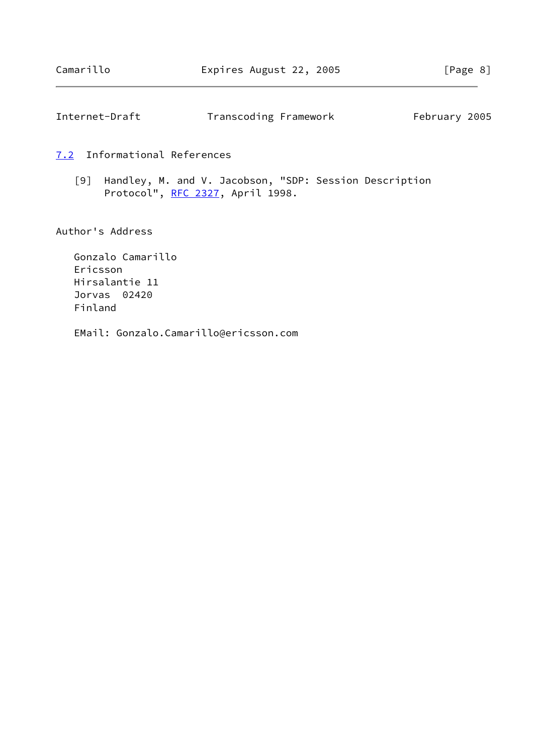<span id="page-9-1"></span>

| Internet-Draft | Transcoding Framework | February 2005 |
|----------------|-----------------------|---------------|
|----------------|-----------------------|---------------|

<span id="page-9-0"></span>[7.2](#page-9-0) Informational References

<span id="page-9-2"></span> [9] Handley, M. and V. Jacobson, "SDP: Session Description Protocol", [RFC 2327](https://datatracker.ietf.org/doc/pdf/rfc2327), April 1998.

Author's Address

 Gonzalo Camarillo Ericsson Hirsalantie 11 Jorvas 02420 Finland

EMail: Gonzalo.Camarillo@ericsson.com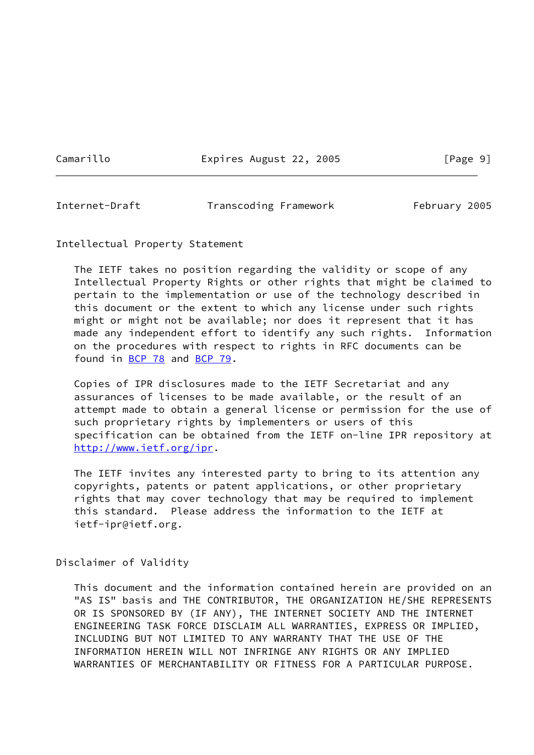Camarillo Expires August 22, 2005 [Page 9]

<span id="page-10-0"></span>

Internet-Draft Transcoding Framework February 2005

Intellectual Property Statement

 The IETF takes no position regarding the validity or scope of any Intellectual Property Rights or other rights that might be claimed to pertain to the implementation or use of the technology described in this document or the extent to which any license under such rights might or might not be available; nor does it represent that it has made any independent effort to identify any such rights. Information on the procedures with respect to rights in RFC documents can be found in [BCP 78](https://datatracker.ietf.org/doc/pdf/bcp78) and [BCP 79](https://datatracker.ietf.org/doc/pdf/bcp79).

 Copies of IPR disclosures made to the IETF Secretariat and any assurances of licenses to be made available, or the result of an attempt made to obtain a general license or permission for the use of such proprietary rights by implementers or users of this specification can be obtained from the IETF on-line IPR repository at <http://www.ietf.org/ipr>.

 The IETF invites any interested party to bring to its attention any copyrights, patents or patent applications, or other proprietary rights that may cover technology that may be required to implement this standard. Please address the information to the IETF at ietf-ipr@ietf.org.

Disclaimer of Validity

 This document and the information contained herein are provided on an "AS IS" basis and THE CONTRIBUTOR, THE ORGANIZATION HE/SHE REPRESENTS OR IS SPONSORED BY (IF ANY), THE INTERNET SOCIETY AND THE INTERNET ENGINEERING TASK FORCE DISCLAIM ALL WARRANTIES, EXPRESS OR IMPLIED, INCLUDING BUT NOT LIMITED TO ANY WARRANTY THAT THE USE OF THE INFORMATION HEREIN WILL NOT INFRINGE ANY RIGHTS OR ANY IMPLIED WARRANTIES OF MERCHANTABILITY OR FITNESS FOR A PARTICULAR PURPOSE.